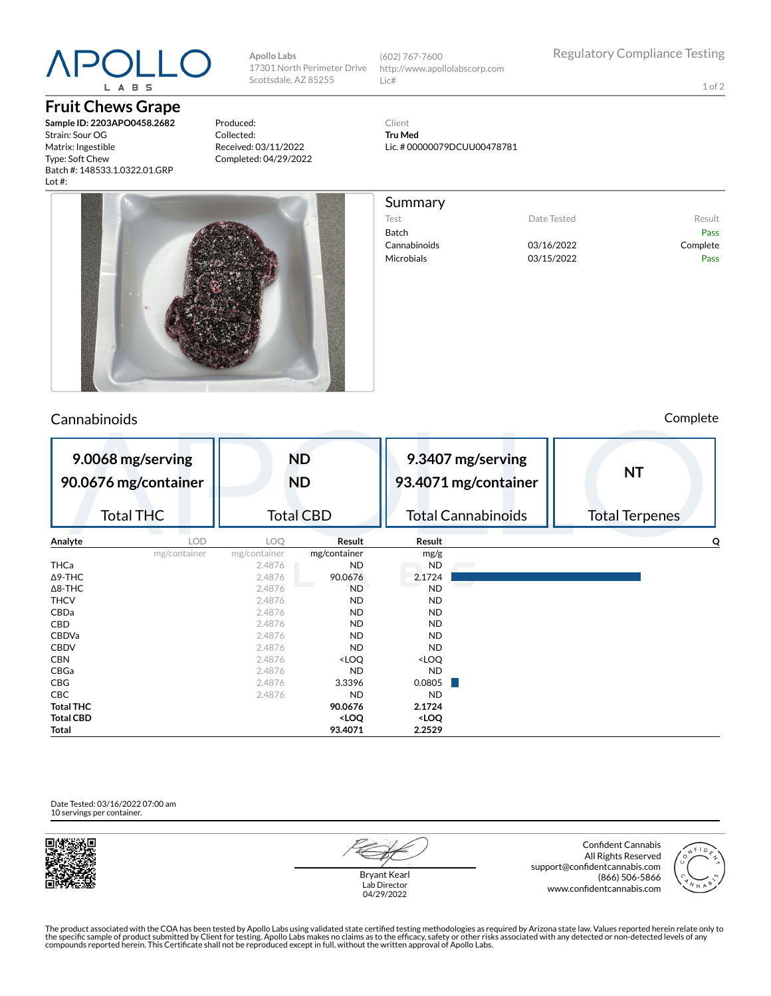# L A B S

## **Fruit Chews Grape**

**Sample ID: 2203APO0458.2682** Strain: Sour OG Matrix: Ingestible Type: Soft Chew Batch #: 148533.1.0322.01.GRP Lot #:

Produced: Collected: Received: 03/11/2022 Completed: 04/29/2022

**Apollo Labs**

17301 North Perimeter Drive Scottsdale, AZ 85255



## Cannabinoids Complete

Client **Tru Med** Lic. # 00000079DCUU00478781

http://www.apollolabscorp.com

(602) 767-7600

Lic#

| $-$ - $        -$ |             |        |
|-------------------|-------------|--------|
| Test              | Date Tested | Result |
| Batch             |             | Pass   |

Cannabinoids 03/16/2022 Complete Microbials **03/15/2022** Pass

|                  | 9.0068 mg/serving<br>90.0676 mg/container | <b>ND</b><br><b>ND</b><br><b>Total CBD</b> |                                                                   | 9.3407 mg/serving<br>93.4071 mg/container<br><b>Total Cannabinoids</b> |  | <b>NT</b>             |  |  |
|------------------|-------------------------------------------|--------------------------------------------|-------------------------------------------------------------------|------------------------------------------------------------------------|--|-----------------------|--|--|
|                  | <b>Total THC</b>                          |                                            |                                                                   |                                                                        |  | <b>Total Terpenes</b> |  |  |
| Analyte          | <b>LOD</b>                                | <b>LOO</b>                                 | Result                                                            | Result                                                                 |  | O                     |  |  |
|                  | mg/container                              | mg/container                               | mg/container                                                      | mg/g                                                                   |  |                       |  |  |
| <b>THCa</b>      |                                           | 2.4876                                     | <b>ND</b>                                                         | <b>ND</b>                                                              |  |                       |  |  |
| $\Delta$ 9-THC   |                                           | 2.4876                                     | 90.0676                                                           | 2.1724                                                                 |  |                       |  |  |
| $\Delta$ 8-THC   |                                           | 2.4876                                     | <b>ND</b>                                                         | <b>ND</b>                                                              |  |                       |  |  |
| <b>THCV</b>      |                                           | 2.4876                                     | <b>ND</b>                                                         | <b>ND</b>                                                              |  |                       |  |  |
| CBDa             |                                           | 2.4876                                     | <b>ND</b>                                                         | <b>ND</b>                                                              |  |                       |  |  |
| CBD              |                                           | 2.4876                                     | <b>ND</b>                                                         | <b>ND</b>                                                              |  |                       |  |  |
| <b>CBDVa</b>     |                                           | 2.4876                                     | ND                                                                | ND                                                                     |  |                       |  |  |
| <b>CBDV</b>      |                                           | 2.4876                                     | <b>ND</b>                                                         | <b>ND</b>                                                              |  |                       |  |  |
| <b>CBN</b>       |                                           | 2.4876                                     | <loq< td=""><td><loq< td=""><td></td><td></td></loq<></td></loq<> | <loq< td=""><td></td><td></td></loq<>                                  |  |                       |  |  |
| CBGa             |                                           | 2.4876                                     | <b>ND</b>                                                         | <b>ND</b>                                                              |  |                       |  |  |
| CBG              |                                           | 2.4876                                     | 3.3396                                                            | 0.0805                                                                 |  |                       |  |  |
| CBC              |                                           | 2.4876                                     | <b>ND</b>                                                         | <b>ND</b>                                                              |  |                       |  |  |
| <b>Total THC</b> |                                           |                                            | 90.0676                                                           | 2.1724                                                                 |  |                       |  |  |
| <b>Total CBD</b> |                                           |                                            | <loq< td=""><td><loq< td=""><td></td><td></td></loq<></td></loq<> | <loq< td=""><td></td><td></td></loq<>                                  |  |                       |  |  |
| <b>Total</b>     |                                           |                                            | 93.4071                                                           | 2.2529                                                                 |  |                       |  |  |

Date Tested: 03/16/2022 07:00 am 10 servings per container.





Bryant Kearl Lab Director 04/29/2022

Confident Cannabis All Rights Reserved support@confidentcannabis.com (866) 506-5866 www.confidentcannabis.com



The product associated with the COA has been tested by Apollo Labs using validated state certified testing methodologies as required by Arizona state law. Values reported herein relate only to<br>the specific sample of produc